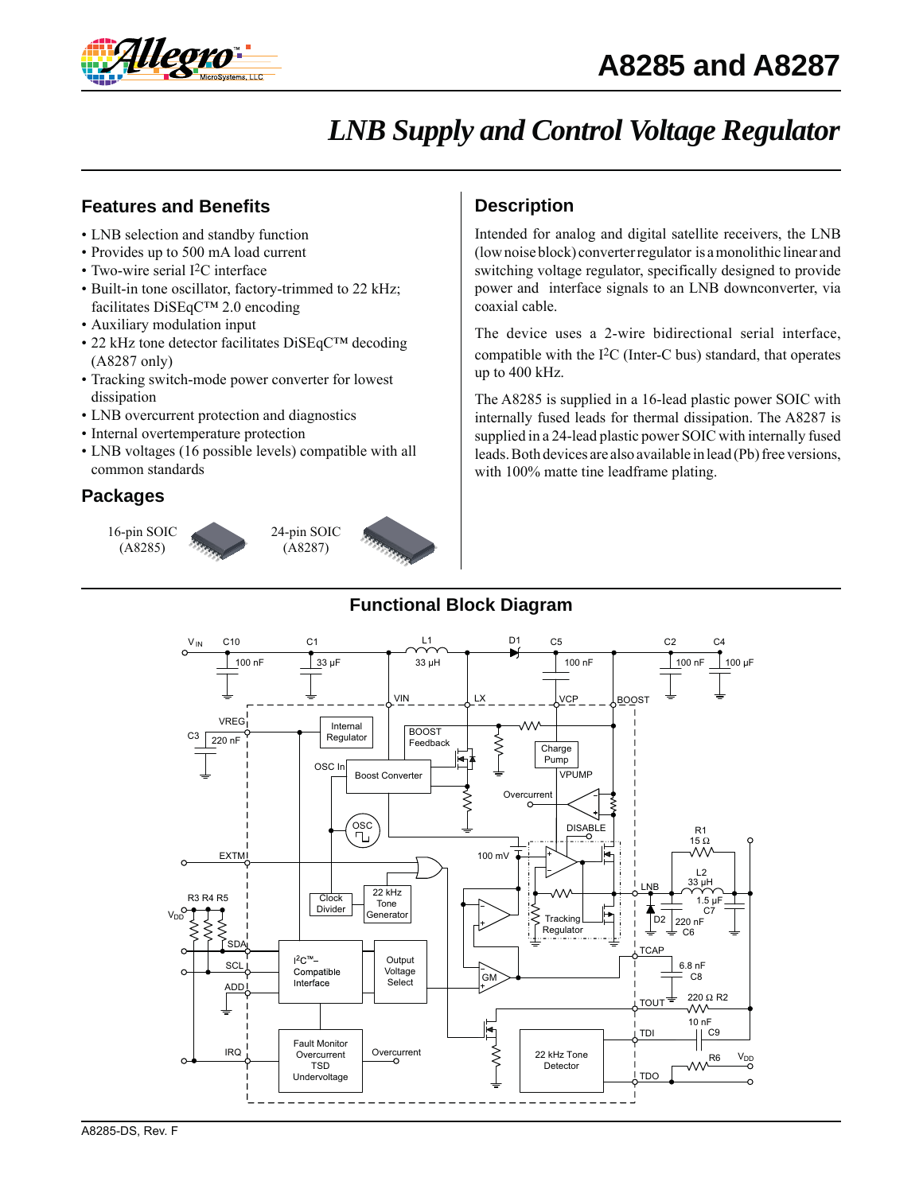

# *LNB Supply and Control Voltage Regulator*

## **Features and Benefits**

- LNB selection and standby function
- Provides up to 500 mA load current
- Two-wire serial I<sup>2</sup>C interface
- Built-in tone oscillator, factory-trimmed to 22 kHz; facilitates DiSEqC™ 2.0 encoding
- Auxiliary modulation input
- 22 kHz tone detector facilitates DiSEqC™ decoding (A8287 only)
- Tracking switch-mode power converter for lowest dissipation
- LNB overcurrent protection and diagnostics
- Internal overtemperature protection
- LNB voltages (16 possible levels) compatible with all common standards

## **Packages**





# **Description**

Intended for analog and digital satellite receivers, the LNB (low noise block) converter regulator is a monolithic linear and switching voltage regulator, specifically designed to provide power and interface signals to an LNB downconverter, via coaxial cable.

The device uses a 2-wire bidirectional serial interface, compatible with the I2C (Inter-C bus) standard, that operates up to 400 kHz.

The A8285 is supplied in a 16-lead plastic power SOIC with internally fused leads for thermal dissipation. The A8287 is supplied in a 24-lead plastic power SOIC with internally fused leads. Both devices are also available in lead (Pb) free versions, with 100% matte tine leadframe plating.

## **Functional Block Diagram**

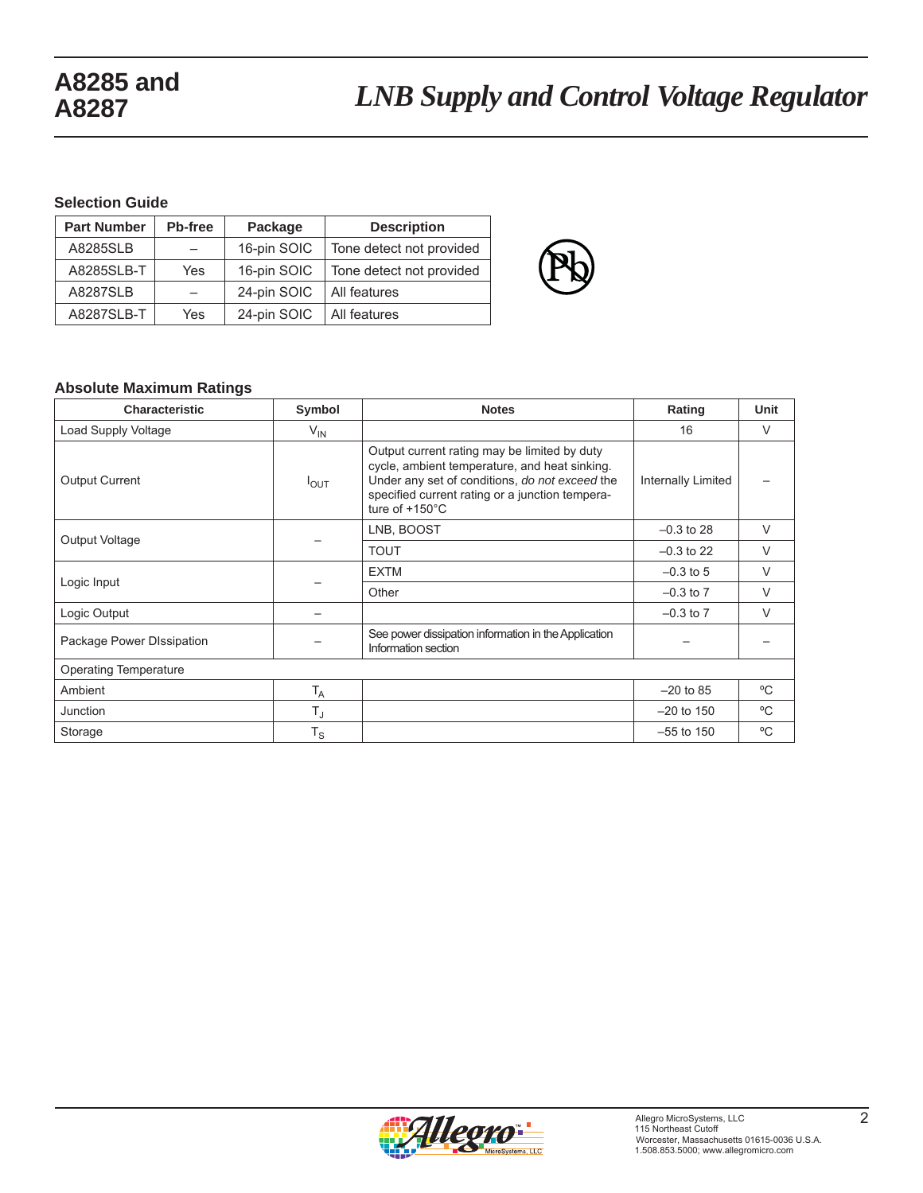#### **Selection Guide**

| <b>Part Number</b> | Pb-free | Package     | <b>Description</b>       |
|--------------------|---------|-------------|--------------------------|
| A8285SLB           |         | 16-pin SOIC | Tone detect not provided |
| A8285SLB-T         | Yes     | 16-pin SOIC | Tone detect not provided |
| <b>A8287SLB</b>    |         | 24-pin SOIC | All features             |
| A8287SLB-T         | Yes     | 24-pin SOIC | All features             |



#### **Absolute Maximum Ratings**

| <b>Characteristic</b>        | Symbol           | <b>Notes</b>                                                                                                                                                                                                                   | Rating             | Unit   |
|------------------------------|------------------|--------------------------------------------------------------------------------------------------------------------------------------------------------------------------------------------------------------------------------|--------------------|--------|
| Load Supply Voltage          | $V_{\text{IN}}$  |                                                                                                                                                                                                                                | 16                 | $\vee$ |
| <b>Output Current</b>        | $I_{\text{OUT}}$ | Output current rating may be limited by duty<br>cycle, ambient temperature, and heat sinking.<br>Under any set of conditions, do not exceed the<br>specified current rating or a junction tempera-<br>ture of $+150^{\circ}$ C | Internally Limited |        |
| Output Voltage               |                  | LNB, BOOST                                                                                                                                                                                                                     | $-0.3$ to 28       | $\vee$ |
|                              |                  | <b>TOUT</b>                                                                                                                                                                                                                    | $-0.3$ to 22       | $\vee$ |
| Logic Input                  |                  | <b>EXTM</b>                                                                                                                                                                                                                    | $-0.3$ to 5        | $\vee$ |
|                              |                  | Other                                                                                                                                                                                                                          | $-0.3$ to $7$      | $\vee$ |
| Logic Output                 |                  |                                                                                                                                                                                                                                | $-0.3$ to $7$      | $\vee$ |
| Package Power DIssipation    |                  | See power dissipation information in the Application<br>Information section                                                                                                                                                    |                    |        |
| <b>Operating Temperature</b> |                  |                                                                                                                                                                                                                                |                    |        |
| Ambient                      | $T_A$            |                                                                                                                                                                                                                                | $-20$ to 85        | °C     |
| Junction                     | $T_{\rm J}$      |                                                                                                                                                                                                                                | $-20$ to 150       | °C     |
| Storage                      | $T_S$            |                                                                                                                                                                                                                                | $-55$ to 150       | °C     |

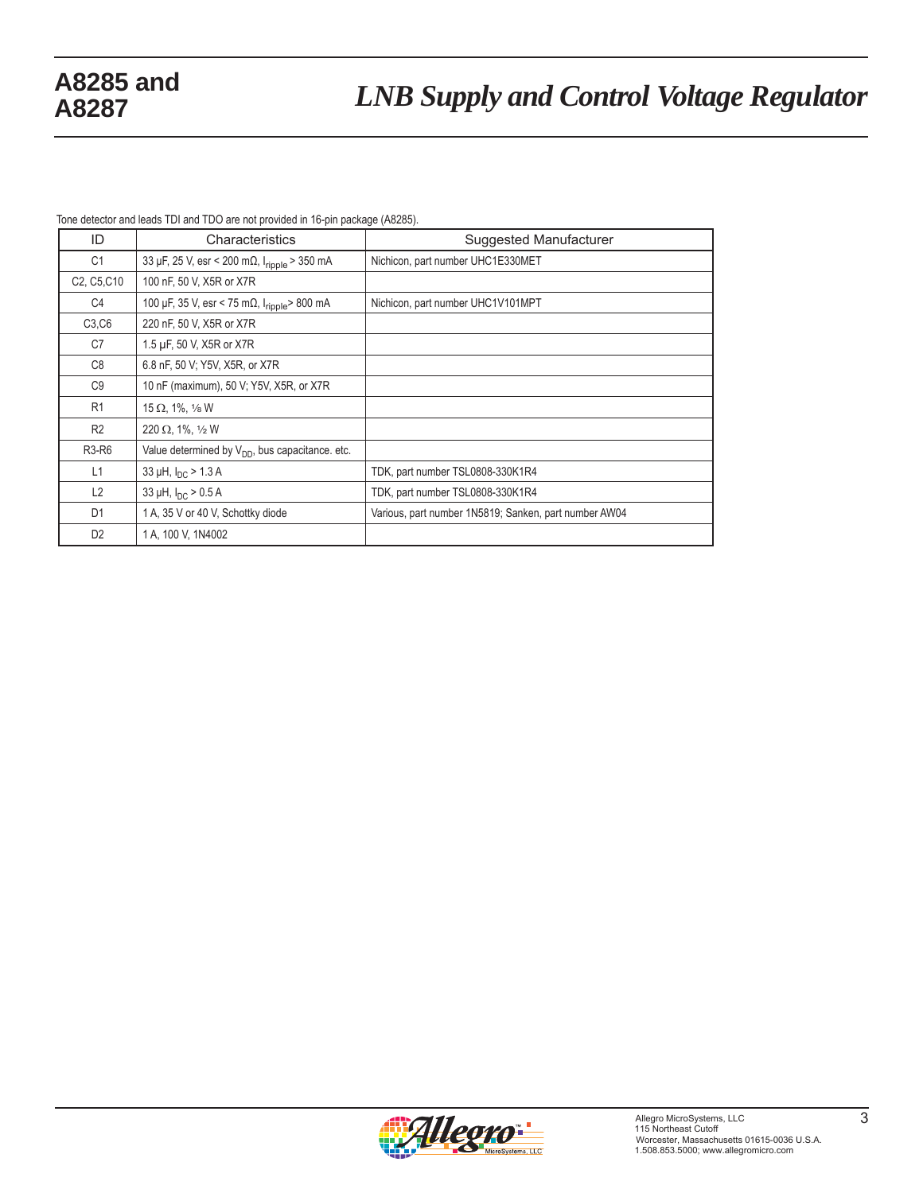Tone detector and leads TDI and TDO are not provided in 16-pin package (A8285).

| ID                                                | Characteristics                                                  | Suggested Manufacturer                                |
|---------------------------------------------------|------------------------------------------------------------------|-------------------------------------------------------|
| C <sub>1</sub>                                    | 33 μF, 25 V, esr < 200 mΩ, I <sub>ripple</sub> > 350 mA          | Nichicon, part number UHC1E330MET                     |
| C <sub>2</sub> , C <sub>5</sub> , C <sub>10</sub> | 100 nF, 50 V, X5R or X7R                                         |                                                       |
| C <sub>4</sub>                                    | 100 µF, 35 V, esr < 75 m $\Omega$ , $I_{\text{ripole}}$ > 800 mA | Nichicon, part number UHC1V101MPT                     |
| C3, C6                                            | 220 nF, 50 V, X5R or X7R                                         |                                                       |
| C7                                                | 1.5 µF, 50 V, X5R or X7R                                         |                                                       |
| C <sub>8</sub>                                    | 6.8 nF, 50 V; Y5V, X5R, or X7R                                   |                                                       |
| C <sub>9</sub>                                    | 10 nF (maximum), 50 V, Y5V, X5R, or X7R                          |                                                       |
| R1                                                | 15 $\Omega$ , 1%, 1/8 W                                          |                                                       |
| R <sub>2</sub>                                    | 220 $\Omega$ , 1%, 1/2 W                                         |                                                       |
| <b>R3-R6</b>                                      | Value determined by $V_{DD}$ , bus capacitance. etc.             |                                                       |
| L1                                                | 33 µH, $I_{DC}$ > 1.3 A                                          | TDK, part number TSL0808-330K1R4                      |
| L2                                                | 33 µH, $I_{DC}$ > 0.5 A                                          | TDK, part number TSL0808-330K1R4                      |
| D <sub>1</sub>                                    | 1 A, 35 V or 40 V, Schottky diode                                | Various, part number 1N5819; Sanken, part number AW04 |
| D <sub>2</sub>                                    | 1 A, 100 V, 1N4002                                               |                                                       |

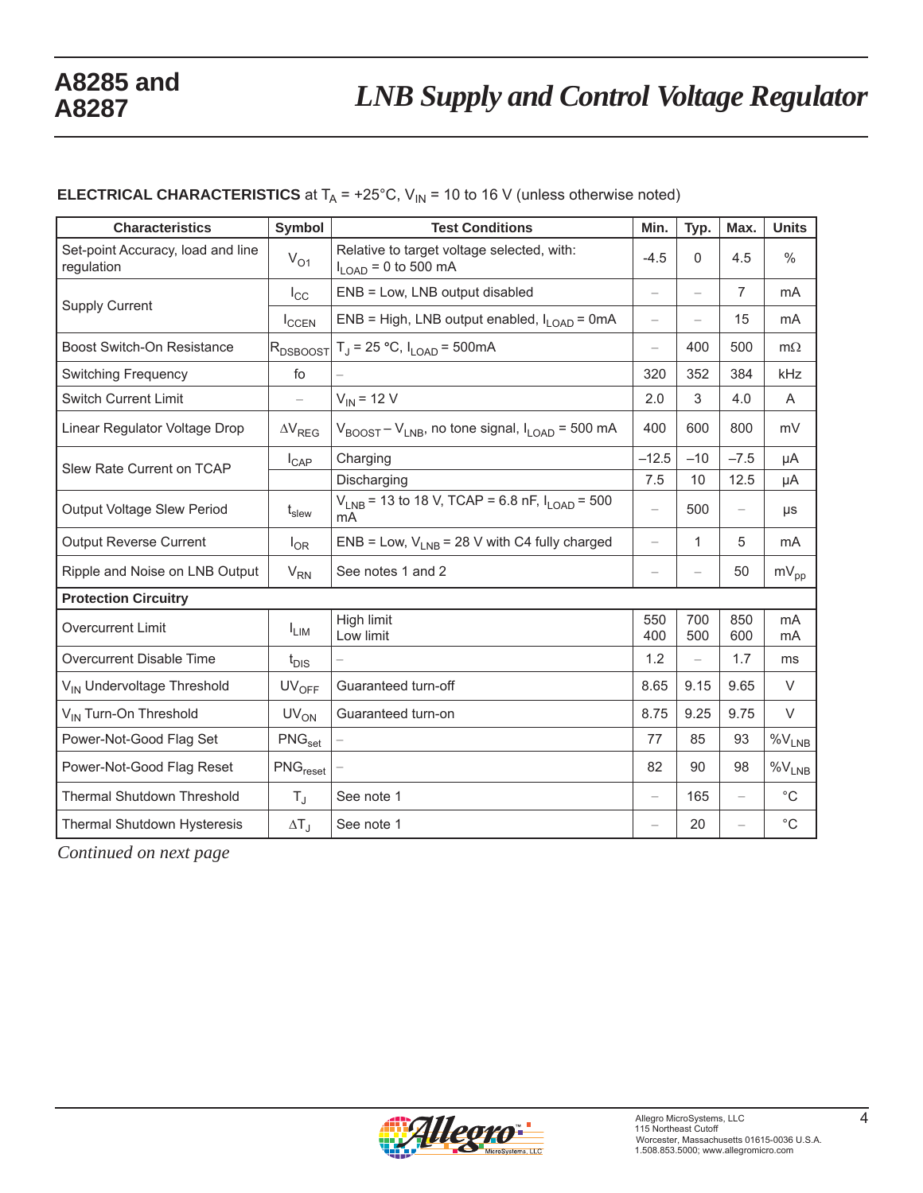# **ELECTRICAL CHARACTERISTICS** at  $T_A = +25^\circ C$ ,  $V_{IN} = 10$  to 16 V (unless otherwise noted)

| <b>Characteristics</b>                          | <b>Symbol</b>                     | <b>Test Conditions</b>                                                                   | Min.                     | Typ.                     | Max.              | <b>Units</b>       |
|-------------------------------------------------|-----------------------------------|------------------------------------------------------------------------------------------|--------------------------|--------------------------|-------------------|--------------------|
| Set-point Accuracy, load and line<br>regulation | $V_{O1}$                          | Relative to target voltage selected, with:<br>$I_{LOAD}$ = 0 to 500 mA                   | $-4.5$                   | $\mathbf{0}$             | 4.5               | $\%$               |
|                                                 | $I_{\rm CC}$                      | ENB = Low, LNB output disabled                                                           | $\qquad \qquad -$        | $\overline{\phantom{0}}$ | $\overline{7}$    | mA                 |
| <b>Supply Current</b>                           | $I_{CCEN}$                        | ENB = High, LNB output enabled, $I_{I OAD}$ = 0mA                                        | $\overline{\phantom{0}}$ |                          | 15                | mA                 |
| <b>Boost Switch-On Resistance</b>               | $ R_{\rm DSBOOST}$                | $T_J = 25 °C$ , $I_{LOAD} = 500 mA$                                                      | $\qquad \qquad -$        | 400                      | 500               | $m\Omega$          |
| <b>Switching Frequency</b>                      | fo                                |                                                                                          | 320                      | 352                      | 384               | kHz                |
| <b>Switch Current Limit</b>                     |                                   | $V_{IN}$ = 12 V                                                                          | 2.0                      | 3                        | 4.0               | A                  |
| Linear Regulator Voltage Drop                   | $\Delta\mathsf{V}_{\mathsf{REG}}$ | $V_{\text{BOOST}} - V_{\text{LNB}}$ , no tone signal, $I_{\text{LOAD}} = 500 \text{ mA}$ | 400                      | 600                      | 800               | mV                 |
| Slew Rate Current on TCAP                       | $I_{\text{CAP}}$                  | Charging                                                                                 | $-12.5$                  | $-10$                    | $-7.5$            | μA                 |
|                                                 |                                   | Discharging                                                                              | 7.5                      | 10                       | 12.5              | μA                 |
| Output Voltage Slew Period                      | $t_{\sf slew}$                    | $V_{LNB}$ = 13 to 18 V, TCAP = 6.8 nF, $I_{LOAD}$ = 500<br>mA                            | $\overline{\phantom{m}}$ | 500                      | $\qquad \qquad -$ | μs                 |
| <b>Output Reverse Current</b>                   | $I_{OR}$                          | ENB = Low, $V_{LNB}$ = 28 V with C4 fully charged                                        | $\overline{\phantom{0}}$ | $\mathbf{1}$             | 5                 | mA                 |
| Ripple and Noise on LNB Output                  | $V_{RN}$                          | See notes 1 and 2                                                                        |                          |                          | 50                | $mV_{pp}$          |
| <b>Protection Circuitry</b>                     |                                   |                                                                                          |                          |                          |                   |                    |
| Overcurrent Limit                               | $I_{LIM}$                         | High limit<br>Low limit                                                                  | 550<br>400               | 700<br>500               | 850<br>600        | mA<br>mA           |
| Overcurrent Disable Time                        | $t_{DIS}$                         |                                                                                          | 1.2                      |                          | 1.7               | ms                 |
| V <sub>IN</sub> Undervoltage Threshold          | $UV_{OFF}$                        | Guaranteed turn-off                                                                      | 8.65                     | 9.15                     | 9.65              | V                  |
| V <sub>IN</sub> Turn-On Threshold               | $UV_{ON}$                         | Guaranteed turn-on                                                                       | 8.75                     | 9.25                     | 9.75              | $\vee$             |
| Power-Not-Good Flag Set                         | PNG <sub>set</sub>                |                                                                                          | 77                       | 85                       | 93                | $\%V_{\text{LNB}}$ |
| Power-Not-Good Flag Reset                       | PNG <sub>reset</sub>              |                                                                                          | 82                       | 90                       | 98                | $\%V_{LNB}$        |
| Thermal Shutdown Threshold                      | $T_{\rm J}$                       | See note 1                                                                               | $\overline{\phantom{0}}$ | 165                      |                   | $^{\circ}C$        |
| Thermal Shutdown Hysteresis                     | $\Delta T_{\rm J}$                | See note 1                                                                               |                          | 20                       |                   | $^{\circ}C$        |

*Continued on next page*

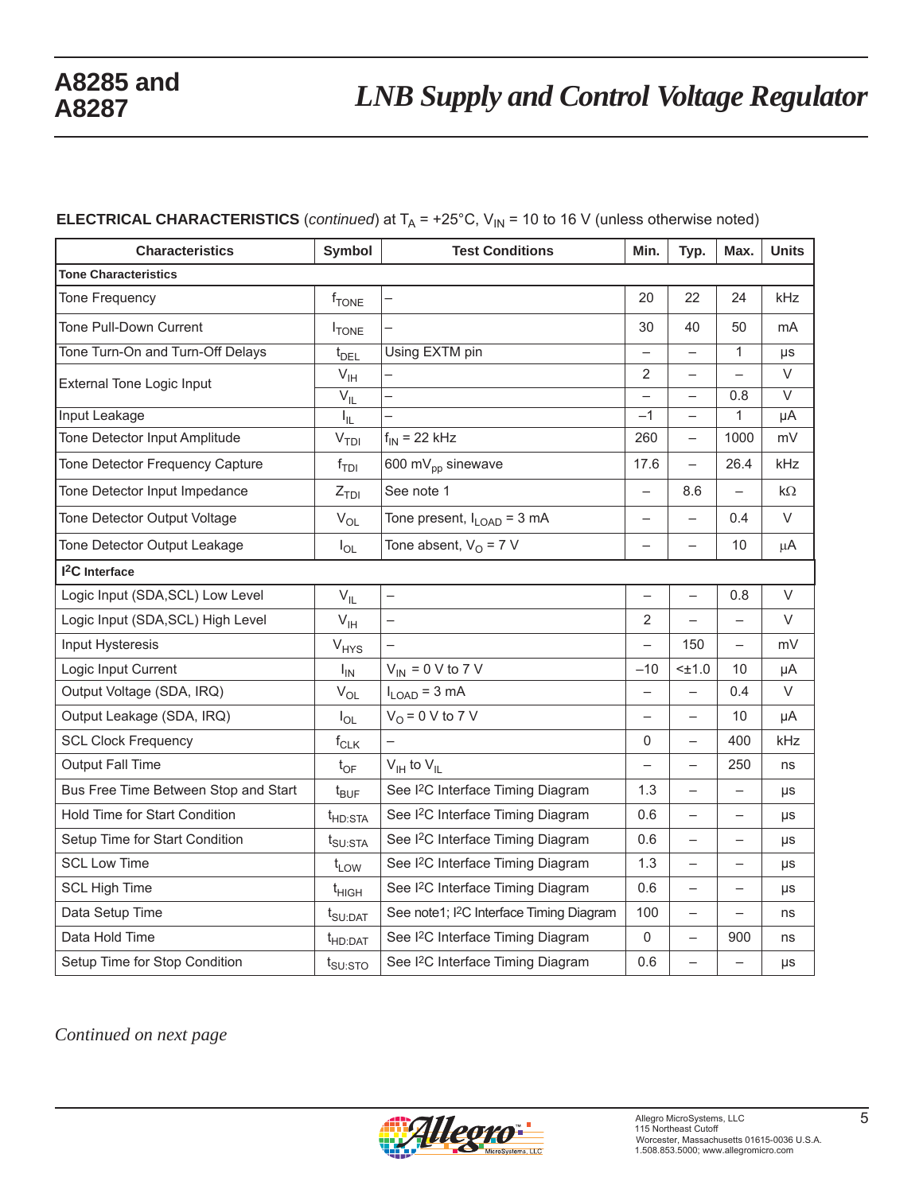# **ELECTRICAL CHARACTERISTICS** (*continued*) at  $T_A$  = +25°C,  $V_{IN}$  = 10 to 16 V (unless otherwise noted)

| <b>Characteristics</b>               | <b>Symbol</b>              | <b>Test Conditions</b>                               | Min.                     | Typ.                     | Max.                     | <b>Units</b>      |  |  |
|--------------------------------------|----------------------------|------------------------------------------------------|--------------------------|--------------------------|--------------------------|-------------------|--|--|
| <b>Tone Characteristics</b>          |                            |                                                      |                          |                          |                          |                   |  |  |
| Tone Frequency                       | $f_{\text{TONE}}$          |                                                      | 20                       | 22                       | 24                       | kHz               |  |  |
| Tone Pull-Down Current               | <b>I</b> TONE              |                                                      | 30                       | 40                       | 50                       | mA                |  |  |
| Tone Turn-On and Turn-Off Delays     | $t_{\text{DEL}}$           | Using EXTM pin                                       |                          |                          | $\mathbf{1}$             | μs                |  |  |
| <b>External Tone Logic Input</b>     | $\mathsf{V}_{\mathsf{IH}}$ |                                                      | 2                        | $\overline{\phantom{0}}$ | $\equiv$                 | V                 |  |  |
|                                      | $V_{IL}$                   |                                                      | $\overline{\phantom{0}}$ | $\overline{\phantom{0}}$ | 0.8                      | $\overline{\vee}$ |  |  |
| Input Leakage                        | I <sub>IL</sub>            |                                                      | $-1$                     | $\qquad \qquad -$        | 1                        | μA                |  |  |
| Tone Detector Input Amplitude        | V <sub>TDI</sub>           | $f_{IN}$ = 22 kHz                                    | 260                      | $\overline{\phantom{0}}$ | 1000                     | mV                |  |  |
| Tone Detector Frequency Capture      | $f_{\text{TDI}}$           | 600 mV <sub>pp</sub> sinewave                        | 17.6                     | $\equiv$                 | 26.4                     | kHz               |  |  |
| Tone Detector Input Impedance        | $Z_{TDI}$                  | See note 1                                           | $\overline{a}$           | 8.6                      |                          | $k\Omega$         |  |  |
| Tone Detector Output Voltage         | $V_{OL}$                   | Tone present, $I_{\text{LOAD}} = 3 \text{ mA}$       | $\overline{\phantom{0}}$ | $\overline{\phantom{0}}$ | 0.4                      | V                 |  |  |
| Tone Detector Output Leakage         | $I_{OL}$                   | Tone absent, $V_{\Omega}$ = 7 V                      | $\overline{\phantom{0}}$ | $\overline{\phantom{0}}$ | 10                       | μA                |  |  |
| <sup>2</sup> C Interface             |                            |                                                      |                          |                          |                          |                   |  |  |
| Logic Input (SDA, SCL) Low Level     | $V_{IL}$                   | $\overline{\phantom{0}}$                             | $\overline{\phantom{0}}$ | $\overline{\phantom{0}}$ | 0.8                      | V                 |  |  |
| Logic Input (SDA, SCL) High Level    | $V_{\text{IH}}$            |                                                      | $\overline{2}$           |                          |                          | V                 |  |  |
| Input Hysteresis                     | $V_{HYS}$                  |                                                      | $\overline{\phantom{0}}$ | 150                      | $\overline{a}$           | mV                |  |  |
| Logic Input Current                  | $I_{IN}$                   | $V_{IN}$ = 0 V to 7 V                                | $-10$                    | $< \pm 1.0$              | 10                       | μA                |  |  |
| Output Voltage (SDA, IRQ)            | $\mathsf{V}_{\mathsf{OL}}$ | $I_{LOAD}$ = 3 mA                                    |                          |                          | 0.4                      | V                 |  |  |
| Output Leakage (SDA, IRQ)            | $I_{OL}$                   | $VO = 0 V to 7 V$                                    | $\overline{\phantom{0}}$ | $\overline{\phantom{0}}$ | 10                       | μA                |  |  |
| <b>SCL Clock Frequency</b>           | $f_{CLK}$                  |                                                      | $\mathbf{0}$             |                          | 400                      | kHz               |  |  |
| Output Fall Time                     | $t_{OF}$                   | $V_{\text{IH}}$ to $V_{\text{IL}}$                   | $\overline{\phantom{0}}$ | $\overline{\phantom{0}}$ | 250                      | ns                |  |  |
| Bus Free Time Between Stop and Start | $t_{\text{BUF}}$           | See I <sup>2</sup> C Interface Timing Diagram        | 1.3                      | $\overline{\phantom{0}}$ | $\equiv$                 | μs                |  |  |
| Hold Time for Start Condition        | $t_{HD:STA}$               | See I <sup>2</sup> C Interface Timing Diagram        | 0.6                      | $\qquad \qquad -$        | $\overline{\phantom{0}}$ | μs                |  |  |
| Setup Time for Start Condition       | $t_{\text{SU:STA}}$        | See I <sup>2</sup> C Interface Timing Diagram        | 0.6                      |                          | $\overline{\phantom{0}}$ | μs                |  |  |
| <b>SCL Low Time</b>                  | $t_{LOW}$                  | See I <sup>2</sup> C Interface Timing Diagram        | 1.3                      |                          | $\overline{\phantom{0}}$ | μs                |  |  |
| <b>SCL High Time</b>                 | $t_{HIGH}$                 | See I <sup>2</sup> C Interface Timing Diagram        | 0.6                      |                          |                          | μs                |  |  |
| Data Setup Time                      | $t_{\text{SU:DAT}}$        | See note1; I <sup>2</sup> C Interface Timing Diagram | 100                      | $\overline{\phantom{0}}$ | $\equiv$                 | ns                |  |  |
| Data Hold Time                       | $t$ HD:DAT                 | See I <sup>2</sup> C Interface Timing Diagram        | 0                        |                          | 900                      | ns                |  |  |
| Setup Time for Stop Condition        | $t_{\text{SU:STO}}$        | See I <sup>2</sup> C Interface Timing Diagram        | 0.6                      |                          | $\equiv$                 | μs                |  |  |

*Continued on next page*

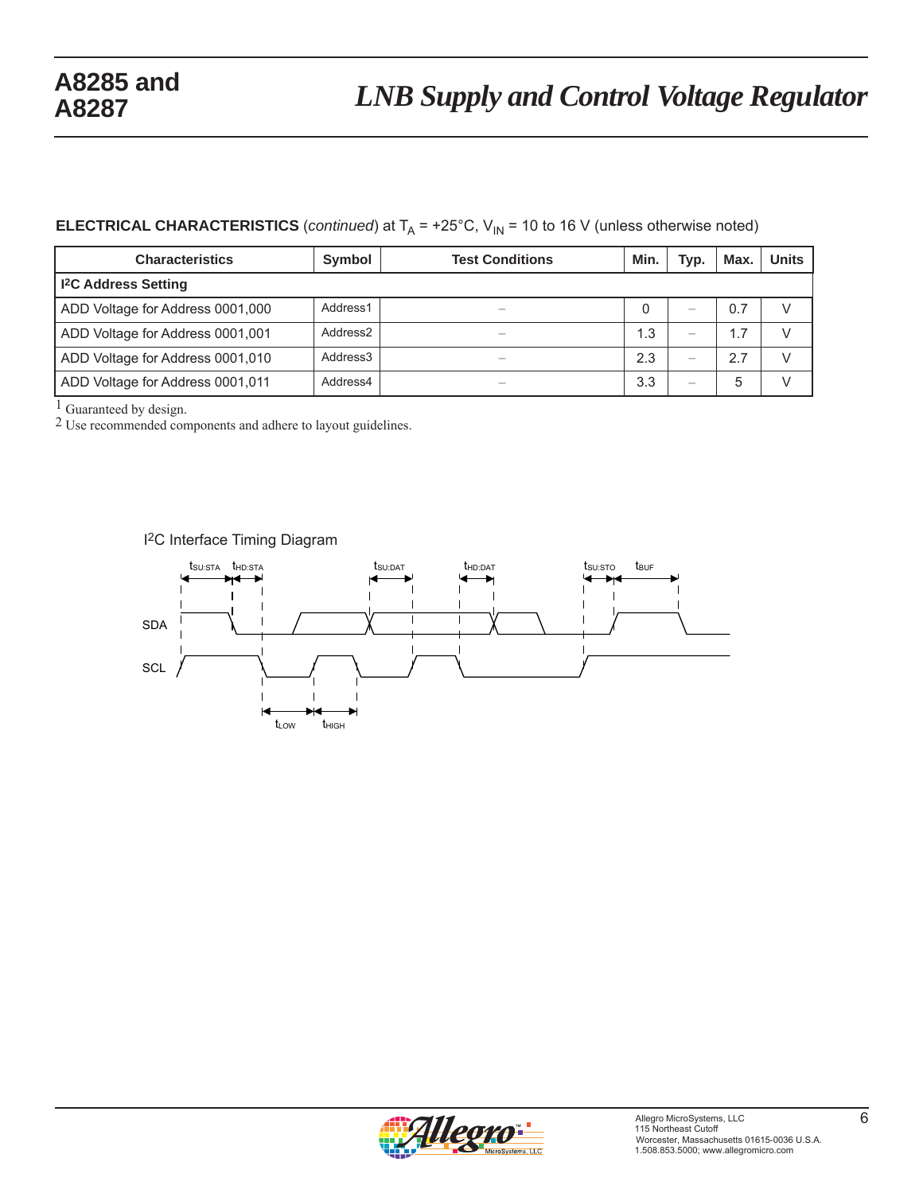# *LNB Supply and Control Voltage Regulator* **A8285 and**

# **ELECTRICAL CHARACTERISTICS** (*continued*) at  $T_A$  = +25°C,  $V_{IN}$  = 10 to 16 V (unless otherwise noted)

| <b>Characteristics</b>                | Symbol               | <b>Test Conditions</b> | Min. | Typ. | Max. | <b>Units</b> |
|---------------------------------------|----------------------|------------------------|------|------|------|--------------|
| <b>I<sup>2</sup>C Address Setting</b> |                      |                        |      |      |      |              |
| ADD Voltage for Address 0001,000      | Address1             | –                      |      |      | 0.7  |              |
| ADD Voltage for Address 0001,001      | Address <sub>2</sub> |                        | 1.3  |      | 1.7  |              |
| ADD Voltage for Address 0001,010      | Address <sub>3</sub> |                        | 2.3  |      | 2.7  |              |
| ADD Voltage for Address 0001,011      | Address4             |                        | 3.3  |      | 5    |              |

<sup>1</sup> Guaranteed by design.

2 Use recommended components and adhere to layout guidelines.



### I2C Interface Timing Diagram

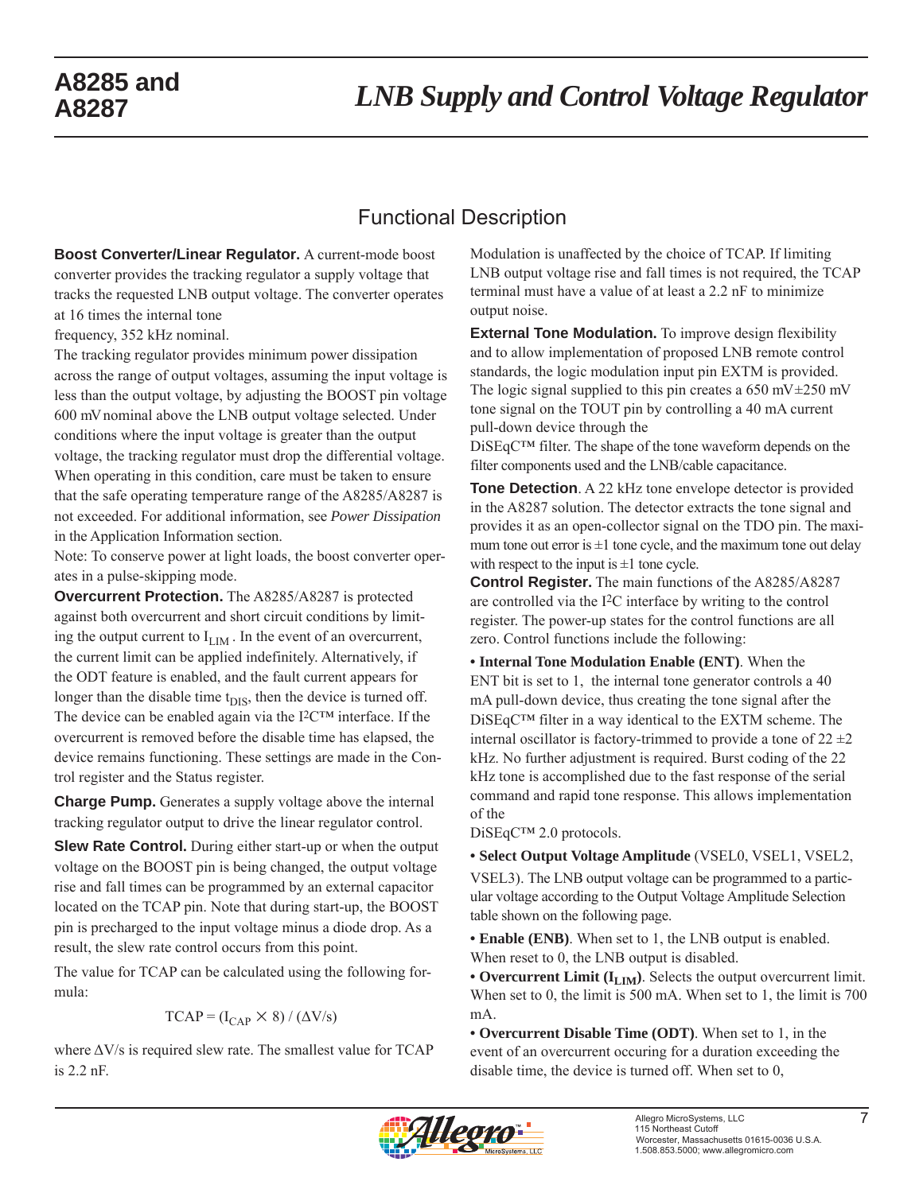# Functional Description

**Boost Converter/Linear Regulator.** A current-mode boost converter provides the tracking regulator a supply voltage that tracks the requested LNB output voltage. The converter operates at 16 times the internal tone

frequency, 352 kHz nominal.

The tracking regulator provides minimum power dissipation across the range of output voltages, assuming the input voltage is less than the output voltage, by adjusting the BOOST pin voltage 600 mV nominal above the LNB output voltage selected. Under conditions where the input voltage is greater than the output voltage, the tracking regulator must drop the differential voltage. When operating in this condition, care must be taken to ensure that the safe operating temperature range of the A8285/A8287 is not exceeded. For additional information, see *Power Dissipation* in the Application Information section.

Note: To conserve power at light loads, the boost converter operates in a pulse-skipping mode.

**Overcurrent Protection.** The A8285/A8287 is protected against both overcurrent and short circuit conditions by limiting the output current to  $I_{\text{LIM}}$ . In the event of an overcurrent, the current limit can be applied indefinitely. Alternatively, if the ODT feature is enabled, and the fault current appears for longer than the disable time  $t_{\text{DIS}}$ , then the device is turned off. The device can be enabled again via the I2C™ interface. If the overcurrent is removed before the disable time has elapsed, the device remains functioning. These settings are made in the Control register and the Status register.

**Charge Pump.** Generates a supply voltage above the internal tracking regulator output to drive the linear regulator control.

**Slew Rate Control.** During either start-up or when the output voltage on the BOOST pin is being changed, the output voltage rise and fall times can be programmed by an external capacitor located on the TCAP pin. Note that during start-up, the BOOST pin is precharged to the input voltage minus a diode drop. As a result, the slew rate control occurs from this point.

The value for TCAP can be calculated using the following formula:

$$
TCAP = (I_{CAP} \times 8) / (\Delta V/s)
$$

where ΔV/s is required slew rate. The smallest value for TCAP is 2.2 nF.

Modulation is unaffected by the choice of TCAP. If limiting LNB output voltage rise and fall times is not required, the TCAP terminal must have a value of at least a 2.2 nF to minimize output noise.

**External Tone Modulation.** To improve design flexibility and to allow implementation of proposed LNB remote control standards, the logic modulation input pin EXTM is provided. The logic signal supplied to this pin creates a  $650 \text{ mV} \pm 250 \text{ mV}$ tone signal on the TOUT pin by controlling a 40 mA current pull-down device through the

DiSEqC™ filter. The shape of the tone waveform depends on the filter components used and the LNB/cable capacitance.

**Tone Detection**. A 22 kHz tone envelope detector is provided in the A8287 solution. The detector extracts the tone signal and provides it as an open-collector signal on the TDO pin. The maximum tone out error is  $\pm 1$  tone cycle, and the maximum tone out delay with respect to the input is  $\pm 1$  tone cycle.

**Control Register.** The main functions of the A8285/A8287 are controlled via the I2C interface by writing to the control register. The power-up states for the control functions are all zero. Control functions include the following:

**• Internal Tone Modulation Enable (ENT)**. When the ENT bit is set to 1, the internal tone generator controls a 40 mA pull-down device, thus creating the tone signal after the DiSEqC™ filter in a way identical to the EXTM scheme. The internal oscillator is factory-trimmed to provide a tone of  $22 \pm 2$ kHz. No further adjustment is required. Burst coding of the 22 kHz tone is accomplished due to the fast response of the serial command and rapid tone response. This allows implementation of the

DiSEqC™ 2.0 protocols.

**• Select Output Voltage Amplitude** (VSEL0, VSEL1, VSEL2,

VSEL3). The LNB output voltage can be programmed to a particular voltage according to the Output Voltage Amplitude Selection table shown on the following page.

**• Enable (ENB)**. When set to 1, the LNB output is enabled. When reset to 0, the LNB output is disabled.

• Overcurrent Limit (I<sub>LIM</sub>). Selects the output overcurrent limit. When set to 0, the limit is 500 mA. When set to 1, the limit is 700 mA.

**• Overcurrent Disable Time (ODT)**. When set to 1, in the event of an overcurrent occuring for a duration exceeding the disable time, the device is turned off. When set to 0,

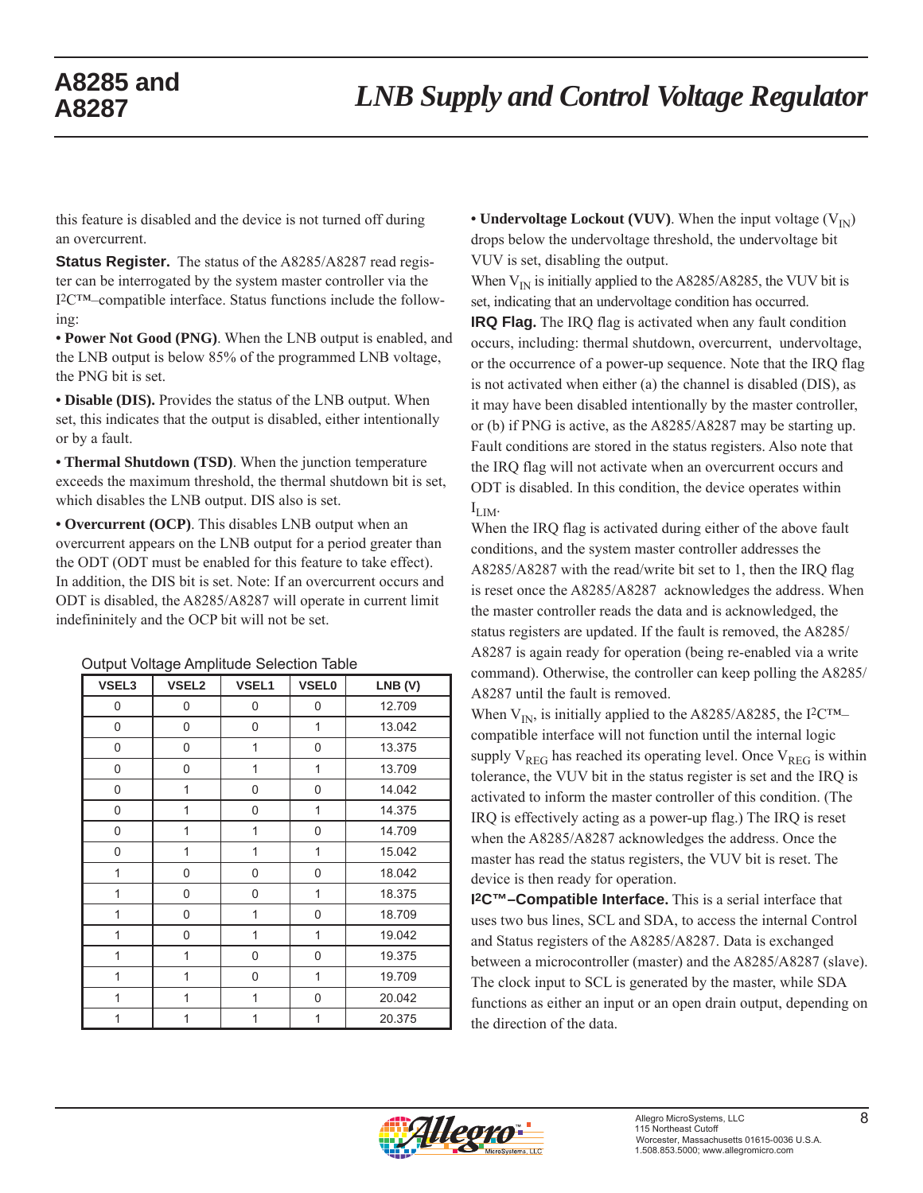this feature is disabled and the device is not turned off during an overcurrent.

**Status Register.** The status of the A8285/A8287 read register can be interrogated by the system master controller via the I2C™–compatible interface. Status functions include the following:

**• Power Not Good (PNG)**. When the LNB output is enabled, and the LNB output is below 85% of the programmed LNB voltage, the PNG bit is set.

**• Disable (DIS).** Provides the status of the LNB output. When set, this indicates that the output is disabled, either intentionally or by a fault.

**• Thermal Shutdown (TSD)**. When the junction temperature exceeds the maximum threshold, the thermal shutdown bit is set, which disables the LNB output. DIS also is set.

**• Overcurrent (OCP)**. This disables LNB output when an overcurrent appears on the LNB output for a period greater than the ODT (ODT must be enabled for this feature to take effect). In addition, the DIS bit is set. Note: If an overcurrent occurs and ODT is disabled, the A8285/A8287 will operate in current limit indefininitely and the OCP bit will not be set.

| VSEL3          | <b>VSEL2</b> | VSEL1          | <b>VSEL0</b> | LNB (V) |
|----------------|--------------|----------------|--------------|---------|
| 0              | 0            | 0              | 0            | 12.709  |
| 0              | 0            | 0              | 1            | 13.042  |
| 0              | 0            | $\overline{1}$ | 0            | 13.375  |
| 0              | 0            | 1              | 1            | 13.709  |
| 0              | 1            | 0              | 0            | 14.042  |
| 0              | 1            | 0              | 1            | 14.375  |
| 0              | 1            | $\overline{1}$ | 0            | 14.709  |
| 0              | 1            | $\overline{1}$ | 1            | 15.042  |
| 1              | 0            | 0              | 0            | 18.042  |
| 1              | 0            | 0              | 1            | 18.375  |
| 1              | 0            | 1              | 0            | 18.709  |
| 1              | 0            | $\overline{1}$ | 1            | 19.042  |
| 1              | 1            | 0              | 0            | 19.375  |
| 1              | 1            | 0              | 1            | 19.709  |
| $\overline{1}$ | 1            | $\overline{1}$ | 0            | 20.042  |
| 1              | 1            | 1              | 1            | 20.375  |

#### Output Voltage Amplitude Selection Table

• **Undervoltage Lockout (VUV)**. When the input voltage  $(V_{\text{IN}})$ drops below the undervoltage threshold, the undervoltage bit VUV is set, disabling the output.

When  $V_{\text{IN}}$  is initially applied to the A8285/A8285, the VUV bit is set, indicating that an undervoltage condition has occurred.

**IRQ Flag.** The IRQ flag is activated when any fault condition occurs, including: thermal shutdown, overcurrent, undervoltage, or the occurrence of a power-up sequence. Note that the IRQ flag is not activated when either (a) the channel is disabled (DIS), as it may have been disabled intentionally by the master controller, or (b) if PNG is active, as the A8285/A8287 may be starting up. Fault conditions are stored in the status registers. Also note that the IRQ flag will not activate when an overcurrent occurs and ODT is disabled. In this condition, the device operates within  $I_{LIM}$ .

When the IRQ flag is activated during either of the above fault conditions, and the system master controller addresses the A8285/A8287 with the read/write bit set to 1, then the IRQ flag is reset once the A8285/A8287 acknowledges the address. When the master controller reads the data and is acknowledged, the status registers are updated. If the fault is removed, the A8285/ A8287 is again ready for operation (being re-enabled via a write command). Otherwise, the controller can keep polling the A8285/ A8287 until the fault is removed.

When  $V_{IN}$ , is initially applied to the A8285/A8285, the I<sup>2</sup>C<sup>TM</sup>– compatible interface will not function until the internal logic supply  $V_{REG}$  has reached its operating level. Once  $V_{REG}$  is within tolerance, the VUV bit in the status register is set and the IRQ is activated to inform the master controller of this condition. (The IRQ is effectively acting as a power-up flag.) The IRQ is reset when the A8285/A8287 acknowledges the address. Once the master has read the status registers, the VUV bit is reset. The device is then ready for operation.

**I2C™–Compatible Interface.** This is a serial interface that uses two bus lines, SCL and SDA, to access the internal Control and Status registers of the A8285/A8287. Data is exchanged between a microcontroller (master) and the A8285/A8287 (slave). The clock input to SCL is generated by the master, while SDA functions as either an input or an open drain output, depending on the direction of the data.

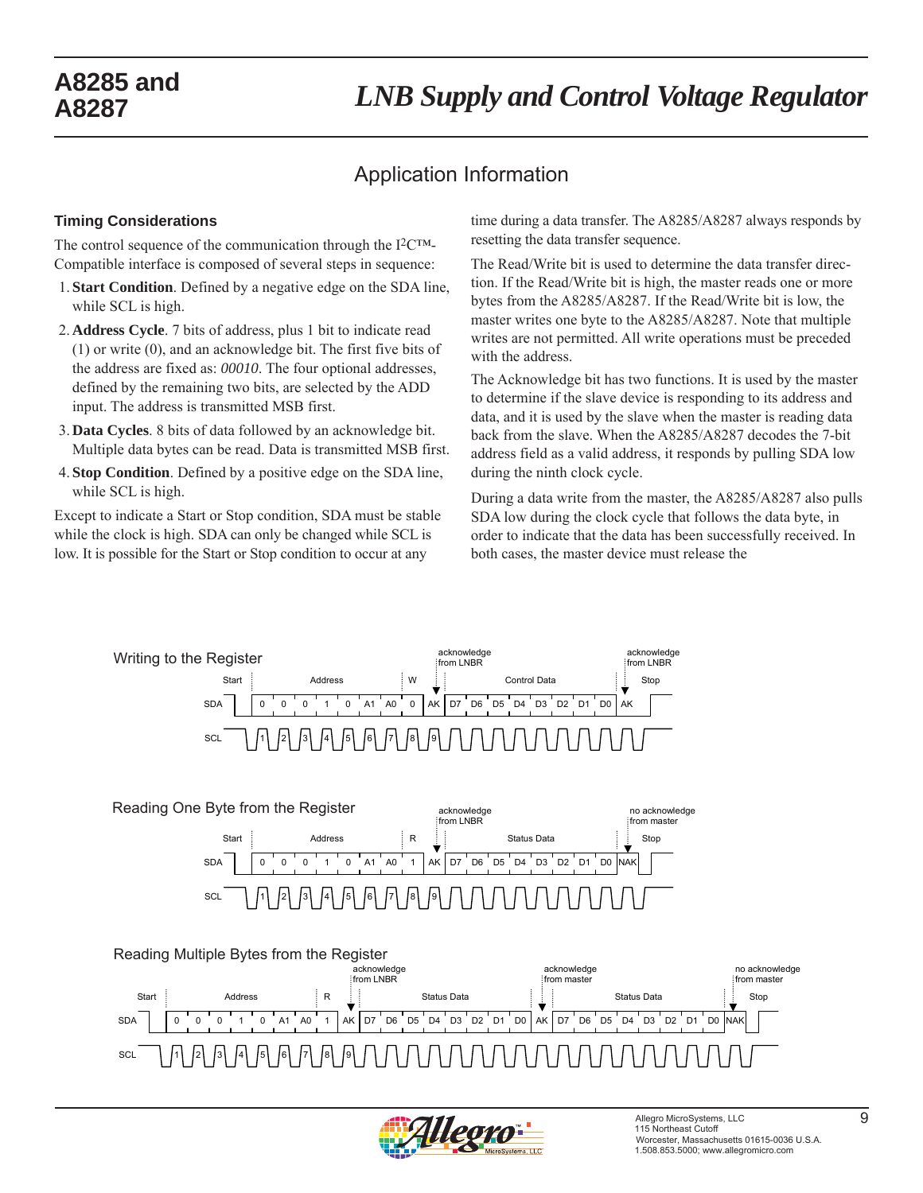# *LNB Supply and Control Voltage Regulator* **A8285 and**

# Application Information

#### **Timing Considerations**

The control sequence of the communication through the I2C™- Compatible interface is composed of several steps in sequence:

- 1. **Start Condition**. Defined by a negative edge on the SDA line, while SCL is high.
- 2. **Address Cycle**. 7 bits of address, plus 1 bit to indicate read (1) or write (0), and an acknowledge bit. The first five bits of the address are fixed as: *00010*. The four optional addresses, defined by the remaining two bits, are selected by the ADD input. The address is transmitted MSB first.
- 3. **Data Cycles**. 8 bits of data followed by an acknowledge bit. Multiple data bytes can be read. Data is transmitted MSB first.
- 4. **Stop Condition**. Defined by a positive edge on the SDA line, while SCL is high.

Except to indicate a Start or Stop condition, SDA must be stable while the clock is high. SDA can only be changed while SCL is low. It is possible for the Start or Stop condition to occur at any

time during a data transfer. The A8285/A8287 always responds by resetting the data transfer sequence.

The Read/Write bit is used to determine the data transfer direction. If the Read/Write bit is high, the master reads one or more bytes from the A8285/A8287. If the Read/Write bit is low, the master writes one byte to the A8285/A8287. Note that multiple writes are not permitted. All write operations must be preceded with the address.

The Acknowledge bit has two functions. It is used by the master to determine if the slave device is responding to its address and data, and it is used by the slave when the master is reading data back from the slave. When the A8285/A8287 decodes the 7-bit address field as a valid address, it responds by pulling SDA low during the ninth clock cycle.

During a data write from the master, the A8285/A8287 also pulls SDA low during the clock cycle that follows the data byte, in order to indicate that the data has been successfully received. In both cases, the master device must release the







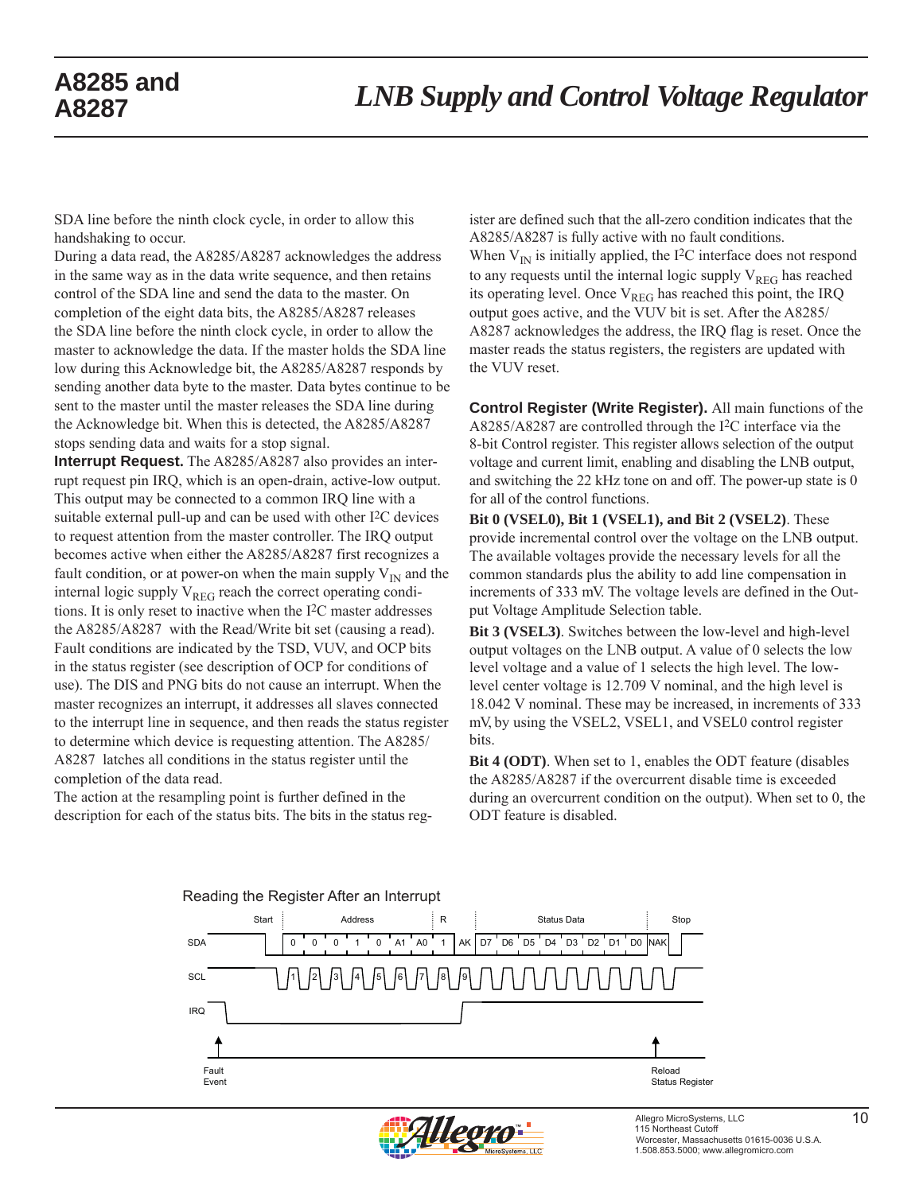SDA line before the ninth clock cycle, in order to allow this handshaking to occur.

During a data read, the A8285/A8287 acknowledges the address in the same way as in the data write sequence, and then retains control of the SDA line and send the data to the master. On completion of the eight data bits, the A8285/A8287 releases the SDA line before the ninth clock cycle, in order to allow the master to acknowledge the data. If the master holds the SDA line low during this Acknowledge bit, the A8285/A8287 responds by sending another data byte to the master. Data bytes continue to be sent to the master until the master releases the SDA line during the Acknowledge bit. When this is detected, the A8285/A8287 stops sending data and waits for a stop signal.

**Interrupt Request.** The A8285/A8287 also provides an interrupt request pin IRQ, which is an open-drain, active-low output. This output may be connected to a common IRQ line with a suitable external pull-up and can be used with other I2C devices to request attention from the master controller. The IRQ output becomes active when either the A8285/A8287 first recognizes a fault condition, or at power-on when the main supply  $V_{IN}$  and the internal logic supply  $V_{REG}$  reach the correct operating conditions. It is only reset to inactive when the I2C master addresses the A8285/A8287 with the Read/Write bit set (causing a read). Fault conditions are indicated by the TSD, VUV, and OCP bits in the status register (see description of OCP for conditions of use). The DIS and PNG bits do not cause an interrupt. When the master recognizes an interrupt, it addresses all slaves connected to the interrupt line in sequence, and then reads the status register to determine which device is requesting attention. The A8285/ A8287 latches all conditions in the status register until the completion of the data read.

 The action at the resampling point is further defined in the description for each of the status bits. The bits in the status register are defined such that the all-zero condition indicates that the A8285/A8287 is fully active with no fault conditions. When  $V_{IN}$  is initially applied, the I<sup>2</sup>C interface does not respond to any requests until the internal logic supply  $V_{REG}$  has reached its operating level. Once  $V_{REG}$  has reached this point, the IRQ output goes active, and the VUV bit is set. After the A8285/ A8287 acknowledges the address, the IRQ flag is reset. Once the master reads the status registers, the registers are updated with the VUV reset.

**Control Register (Write Register).** All main functions of the A8285/A8287 are controlled through the I2C interface via the 8-bit Control register. This register allows selection of the output voltage and current limit, enabling and disabling the LNB output, and switching the 22 kHz tone on and off. The power-up state is 0 for all of the control functions.

**Bit 0 (VSEL0), Bit 1 (VSEL1), and Bit 2 (VSEL2)**. These provide incremental control over the voltage on the LNB output. The available voltages provide the necessary levels for all the common standards plus the ability to add line compensation in increments of 333 mV. The voltage levels are defined in the Output Voltage Amplitude Selection table.

**Bit 3 (VSEL3)**. Switches between the low-level and high-level output voltages on the LNB output. A value of 0 selects the low level voltage and a value of 1 selects the high level. The lowlevel center voltage is 12.709 V nominal, and the high level is 18.042 V nominal. These may be increased, in increments of 333 mV, by using the VSEL2, VSEL1, and VSEL0 control register bits.

**Bit 4 (ODT)**. When set to 1, enables the ODT feature (disables the A8285/A8287 if the overcurrent disable time is exceeded during an overcurrent condition on the output). When set to 0, the ODT feature is disabled.



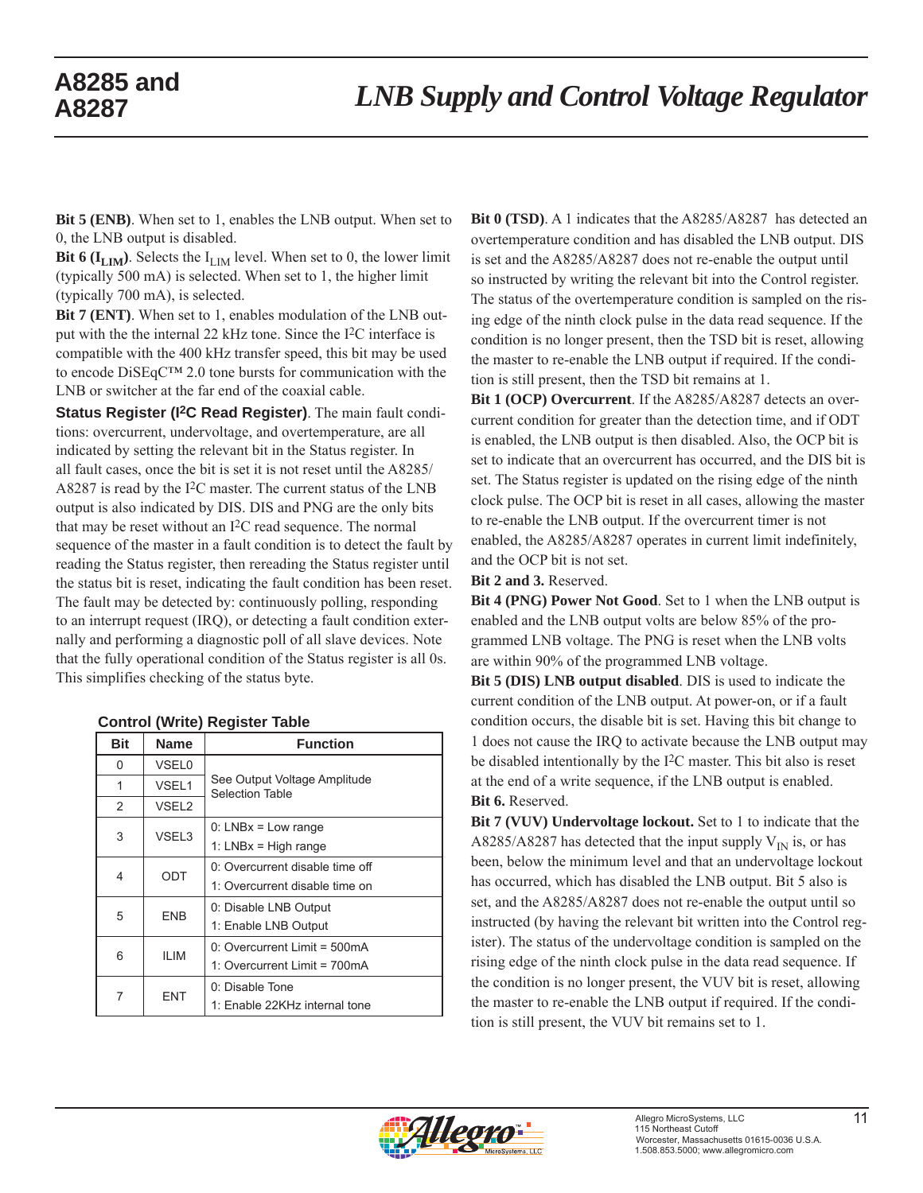**Bit 5 (ENB)**. When set to 1, enables the LNB output. When set to 0, the LNB output is disabled.

**Bit 6 (** $I_{LIM}$ **)**. Selects the  $I_{LIM}$  level. When set to 0, the lower limit (typically 500 mA) is selected. When set to 1, the higher limit (typically 700 mA), is selected.

**Bit 7 (ENT)**. When set to 1, enables modulation of the LNB output with the the internal 22 kHz tone. Since the I2C interface is compatible with the 400 kHz transfer speed, this bit may be used to encode DiSEqC™ 2.0 tone bursts for communication with the LNB or switcher at the far end of the coaxial cable.

**Status Register (I2C Read Register)**. The main fault conditions: overcurrent, undervoltage, and overtemperature, are all indicated by setting the relevant bit in the Status register. In all fault cases, once the bit is set it is not reset until the A8285/ A8287 is read by the I2C master. The current status of the LNB output is also indicated by DIS. DIS and PNG are the only bits that may be reset without an I2C read sequence. The normal sequence of the master in a fault condition is to detect the fault by reading the Status register, then rereading the Status register until the status bit is reset, indicating the fault condition has been reset. The fault may be detected by: continuously polling, responding to an interrupt request (IRQ), or detecting a fault condition externally and performing a diagnostic poll of all slave devices. Note that the fully operational condition of the Status register is all 0s. This simplifies checking of the status byte.

| <b>Bit</b> | <b>Name</b>       | <b>Function</b>                                        |
|------------|-------------------|--------------------------------------------------------|
| 0          | <b>VSEL0</b>      |                                                        |
| 1          | VSEL1             | See Output Voltage Amplitude<br><b>Selection Table</b> |
| 2          | VSEL <sub>2</sub> |                                                        |
| 3          | VSEL3             | $0: LNBx = Low range$                                  |
|            |                   | 1: $LNBx = High range$                                 |
| 4          | ODT               | 0: Overcurrent disable time off                        |
|            |                   | 1: Overcurrent disable time on                         |
| 5          | <b>FNB</b>        | 0: Disable LNB Output                                  |
|            |                   | 1: Enable LNB Output                                   |
| 6          | <b>ILIM</b>       | $0:$ Overcurrent Limit = 500mA                         |
|            |                   | 1: Overcurrent Limit = 700mA                           |
| 7          | <b>ENT</b>        | 0: Disable Tone                                        |
|            |                   | 1: Enable 22KHz internal tone                          |

#### **Control (Write) Register Table**

**Bit 0 (TSD)**. A 1 indicates that the A8285/A8287 has detected an overtemperature condition and has disabled the LNB output. DIS is set and the A8285/A8287 does not re-enable the output until so instructed by writing the relevant bit into the Control register. The status of the overtemperature condition is sampled on the rising edge of the ninth clock pulse in the data read sequence. If the condition is no longer present, then the TSD bit is reset, allowing the master to re-enable the LNB output if required. If the condition is still present, then the TSD bit remains at 1.

**Bit 1 (OCP) Overcurrent**. If the A8285/A8287 detects an overcurrent condition for greater than the detection time, and if ODT is enabled, the LNB output is then disabled. Also, the OCP bit is set to indicate that an overcurrent has occurred, and the DIS bit is set. The Status register is updated on the rising edge of the ninth clock pulse. The OCP bit is reset in all cases, allowing the master to re-enable the LNB output. If the overcurrent timer is not enabled, the A8285/A8287 operates in current limit indefinitely, and the OCP bit is not set.

**Bit 2 and 3.** Reserved.

**Bit 4 (PNG) Power Not Good**. Set to 1 when the LNB output is enabled and the LNB output volts are below 85% of the programmed LNB voltage. The PNG is reset when the LNB volts are within 90% of the programmed LNB voltage.

**Bit 5 (DIS) LNB output disabled**. DIS is used to indicate the current condition of the LNB output. At power-on, or if a fault condition occurs, the disable bit is set. Having this bit change to 1 does not cause the IRQ to activate because the LNB output may be disabled intentionally by the I2C master. This bit also is reset at the end of a write sequence, if the LNB output is enabled. **Bit 6.** Reserved.

**Bit 7 (VUV) Undervoltage lockout.** Set to 1 to indicate that the A8285/A8287 has detected that the input supply  $V_{IN}$  is, or has been, below the minimum level and that an undervoltage lockout has occurred, which has disabled the LNB output. Bit 5 also is set, and the A8285/A8287 does not re-enable the output until so instructed (by having the relevant bit written into the Control register). The status of the undervoltage condition is sampled on the rising edge of the ninth clock pulse in the data read sequence. If the condition is no longer present, the VUV bit is reset, allowing the master to re-enable the LNB output if required. If the condition is still present, the VUV bit remains set to 1.

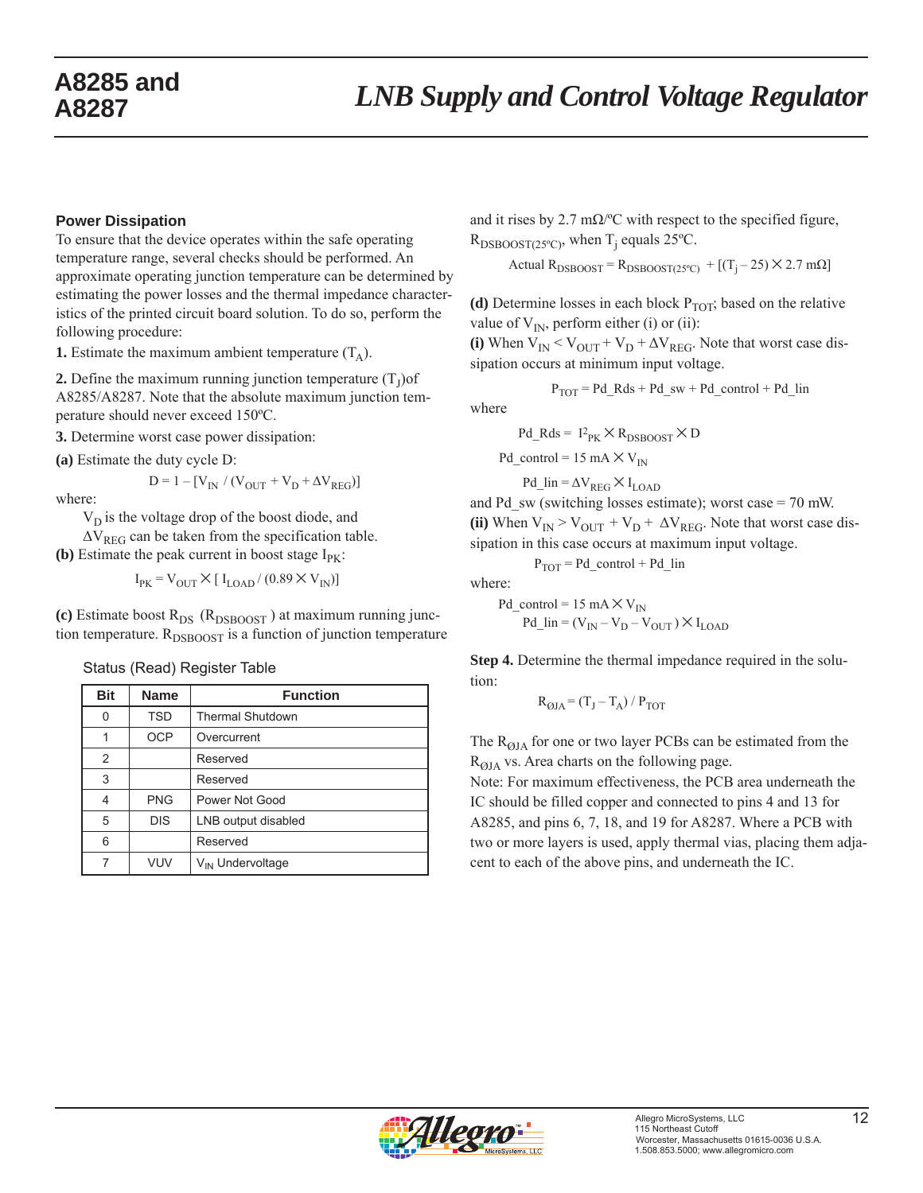#### **Power Dissipation**

To ensure that the device operates within the safe operating temperature range, several checks should be performed. An approximate operating junction temperature can be determined by estimating the power losses and the thermal impedance characteristics of the printed circuit board solution. To do so, perform the following procedure:

**1.** Estimate the maximum ambient temperature  $(T_A)$ .

**2.** Define the maximum running junction temperature  $(T<sub>I</sub>)$ of A8285/A8287. Note that the absolute maximum junction temperature should never exceed 150ºC.

**3.** Determine worst case power dissipation:

**(a)** Estimate the duty cycle D:

$$
D = 1 - [V_{IN} / (V_{OUT} + V_D + \Delta V_{REG})]
$$

where:

 $V<sub>D</sub>$  is the voltage drop of the boost diode, and

 $\Delta V_{REG}$  can be taken from the specification table.

**(b)** Estimate the peak current in boost stage  $I_{PK}$ :

 $I_{PK} = V_{OUT} \times [I_{LOAD}/(0.89 \times V_{IN})]$ 

(c) Estimate boost  $R_{DS}$  ( $R_{DSBOOST}$ ) at maximum running junction temperature.  $R_{DSBOOST}$  is a function of junction temperature

Status (Read) Register Table

| <b>Bit</b>     | <b>Name</b> | <b>Function</b>              |
|----------------|-------------|------------------------------|
| 0              | <b>TSD</b>  | <b>Thermal Shutdown</b>      |
|                | <b>OCP</b>  | Overcurrent                  |
| $\overline{2}$ |             | Reserved                     |
| 3              |             | Reserved                     |
|                | <b>PNG</b>  | Power Not Good               |
| 5              | <b>DIS</b>  | LNB output disabled          |
| 6              |             | Reserved                     |
|                | VUV         | V <sub>IN</sub> Undervoltage |

and it rises by 2.7 m $\Omega$ /°C with respect to the specified figure,  $R_{\text{DSBOOST}(25^{\circ}C)}$ , when T<sub>j</sub> equals 25<sup>o</sup>C.

Actual  $R_{DSBOOST} = R_{DSBOOST(25°C)} + [(T_i - 25) \times 2.7 \text{ m}\Omega]$ 

(d) Determine losses in each block  $P_{TOT}$ ; based on the relative value of  $V_{IN}$ , perform either (i) or (ii):

(i) When  $V_{IN} < V_{OUT} + V_D + \Delta V_{REG}$ . Note that worst case dissipation occurs at minimum input voltage.

$$
P_{TOT} = Pd_R ds + Pd_s w + Pd_{control} + Pd_{lin}
$$

where

$$
Pd\_Rds = \, I^2_{PK} \times R_{DSBOOST} \times D
$$

Pd\_control = 15 mA  $\times$  V<sub>IN</sub>

$$
Pd\_lin = \Delta V_{REG} \times I_{LOAD}
$$

and Pd  $\text{sw}$  (switching losses estimate); worst case = 70 mW. (ii) When  $V_{IN} > V_{OUT} + V_D + \Delta V_{REG}$ . Note that worst case dissipation in this case occurs at maximum input voltage.

$$
P_{TOT} = Pd_{control} + Pd_{lin}
$$

where:

Pd\_control = 15 mA  $\times$  V<sub>IN</sub> Pd  $\text{lin} = (V_{\text{IN}} - V_{\text{D}} - V_{\text{OUT}}) \times I_{\text{LOAD}}$ 

**Step 4.** Determine the thermal impedance required in the solution:

 $R_{OIA} = (T_I - T_A) / P_{TOT}$ 

The  $R_{QJA}$  for one or two layer PCBs can be estimated from the  $R<sub>OIA</sub>$  vs. Area charts on the following page.

Note: For maximum effectiveness, the PCB area underneath the IC should be filled copper and connected to pins 4 and 13 for A8285, and pins 6, 7, 18, and 19 for A8287. Where a PCB with two or more layers is used, apply thermal vias, placing them adjacent to each of the above pins, and underneath the IC.

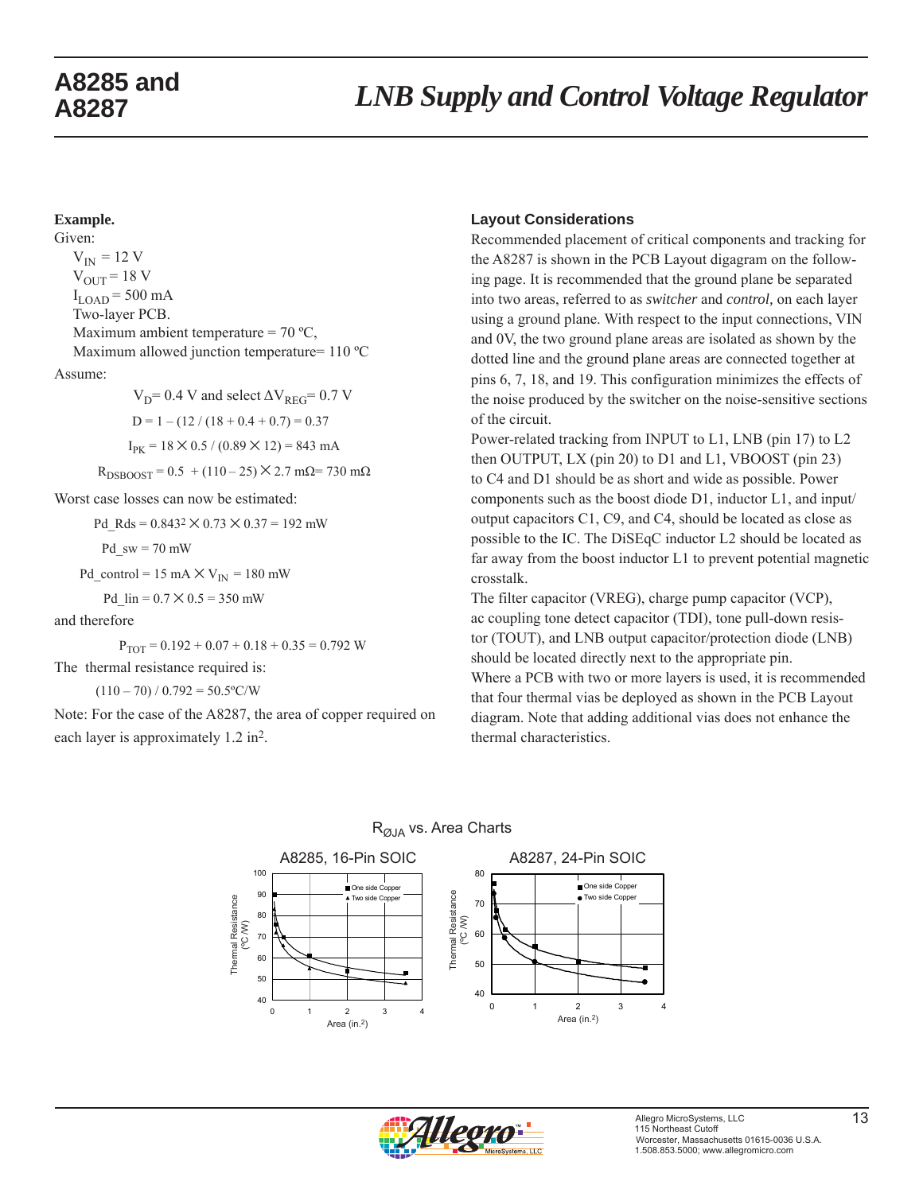#### **Example.**

Given:  $V_{IN}$  = 12 V  $V_{\text{OUT}}$  = 18 V  $I_{\text{LOAD}}$  = 500 mA Two-layer PCB. Maximum ambient temperature =  $70 °C$ , Maximum allowed junction temperature= 110 °C Assume:  $V_D$ = 0.4 V and select  $\Delta V_{REG}$ = 0.7 V  $D = 1 - (12 / (18 + 0.4 + 0.7) = 0.37$ 

 $I_{PK} = 18 \times 0.5 / (0.89 \times 12) = 843$  mA

 $R_{DSBOOST} = 0.5 + (110 - 25) \times 2.7$  mΩ= 730 mΩ

Worst case losses can now be estimated:

Pd Rds =  $0.843^2 \times 0.73 \times 0.37 = 192$  mW

$$
Pd \, \text{sw} = 70 \, \text{mW}
$$

Pd\_control = 15 mA  $\times$  V<sub>IN</sub> = 180 mW

$$
Pd_{\text{min}} = 0.7 \times 0.5 = 350 \text{ mW}
$$

#### and therefore

 $P_{TOT} = 0.192 + 0.07 + 0.18 + 0.35 = 0.792$  W The thermal resistance required is:

 $(110 - 70) / 0.792 = 50.5$ °C/W

Note: For the case of the A8287, the area of copper required on each layer is approximately 1.2 in2.

#### **Layout Considerations**

Recommended placement of critical components and tracking for the A8287 is shown in the PCB Layout digagram on the following page. It is recommended that the ground plane be separated into two areas, referred to as *switcher* and *control,* on each layer using a ground plane. With respect to the input connections, VIN and 0V, the two ground plane areas are isolated as shown by the dotted line and the ground plane areas are connected together at pins 6, 7, 18, and 19. This configuration minimizes the effects of the noise produced by the switcher on the noise-sensitive sections of the circuit.

Power-related tracking from INPUT to L1, LNB (pin 17) to L2 then OUTPUT, LX (pin 20) to D1 and L1, VBOOST (pin 23) to C4 and D1 should be as short and wide as possible. Power components such as the boost diode D1, inductor L1, and input/ output capacitors C1, C9, and C4, should be located as close as possible to the IC. The DiSEqC inductor L2 should be located as far away from the boost inductor L1 to prevent potential magnetic crosstalk.

The filter capacitor (VREG), charge pump capacitor (VCP), ac coupling tone detect capacitor (TDI), tone pull-down resistor (TOUT), and LNB output capacitor/protection diode (LNB) should be located directly next to the appropriate pin. Where a PCB with two or more layers is used, it is recommended that four thermal vias be deployed as shown in the PCB Layout diagram. Note that adding additional vias does not enhance the thermal characteristics.



#### R<sub>ØJA</sub> vs. Area Charts

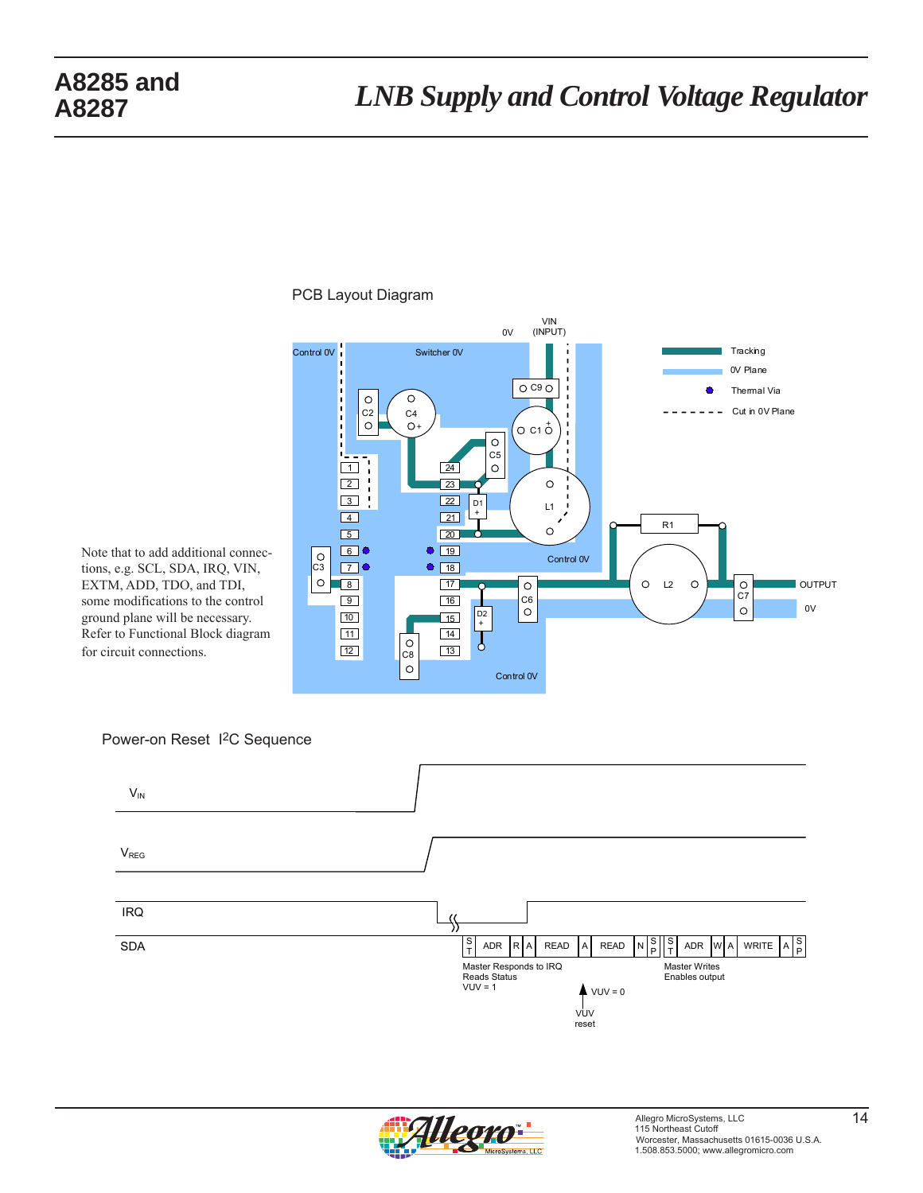### PCB Layout Diagram



Note that to add additional connections, e.g. SCL, SDA, IRQ, VIN, EXTM, ADD, TDO, and TDI, some modifications to the control ground plane will be necessary. Refer to Functional Block diagram for circuit connections.





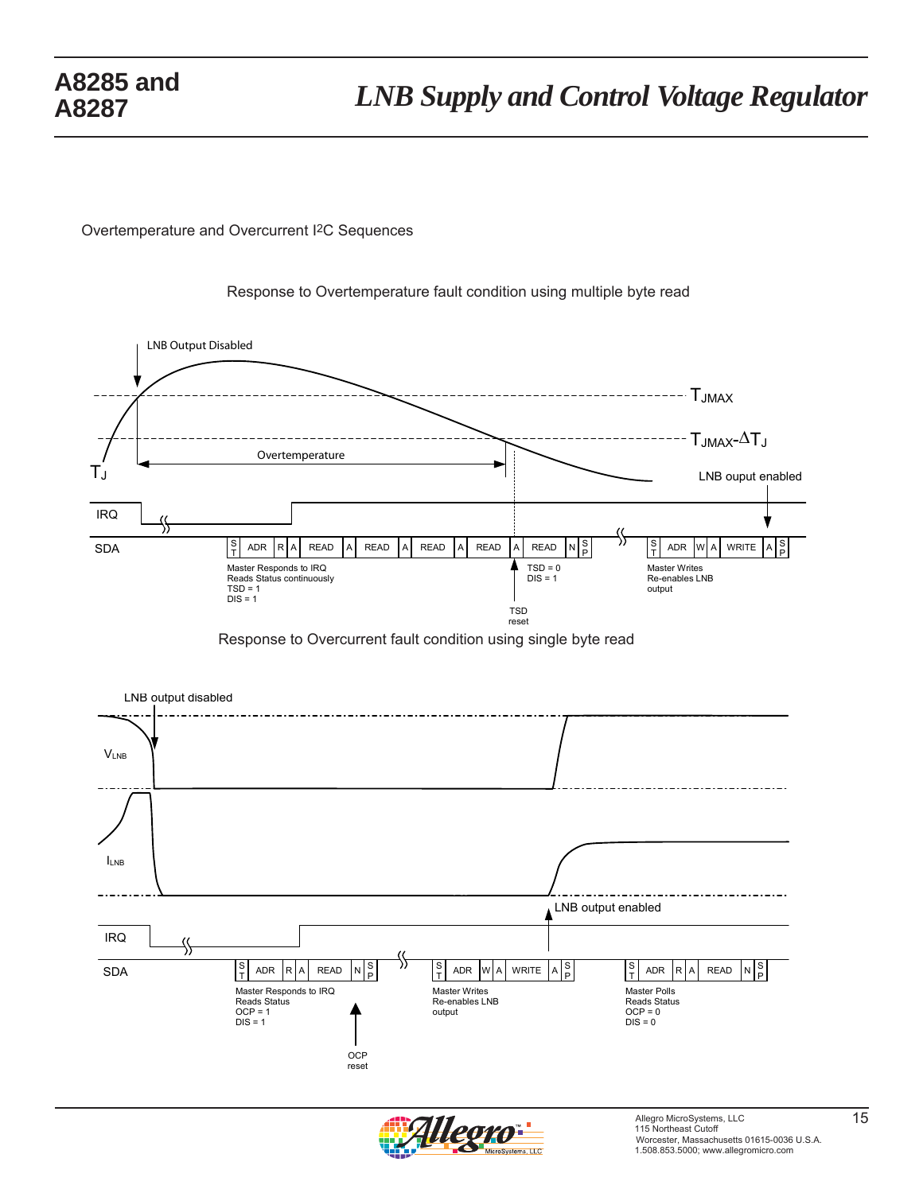Overtemperature and Overcurrent I2C Sequences



Response to Overtemperature fault condition using multiple byte read

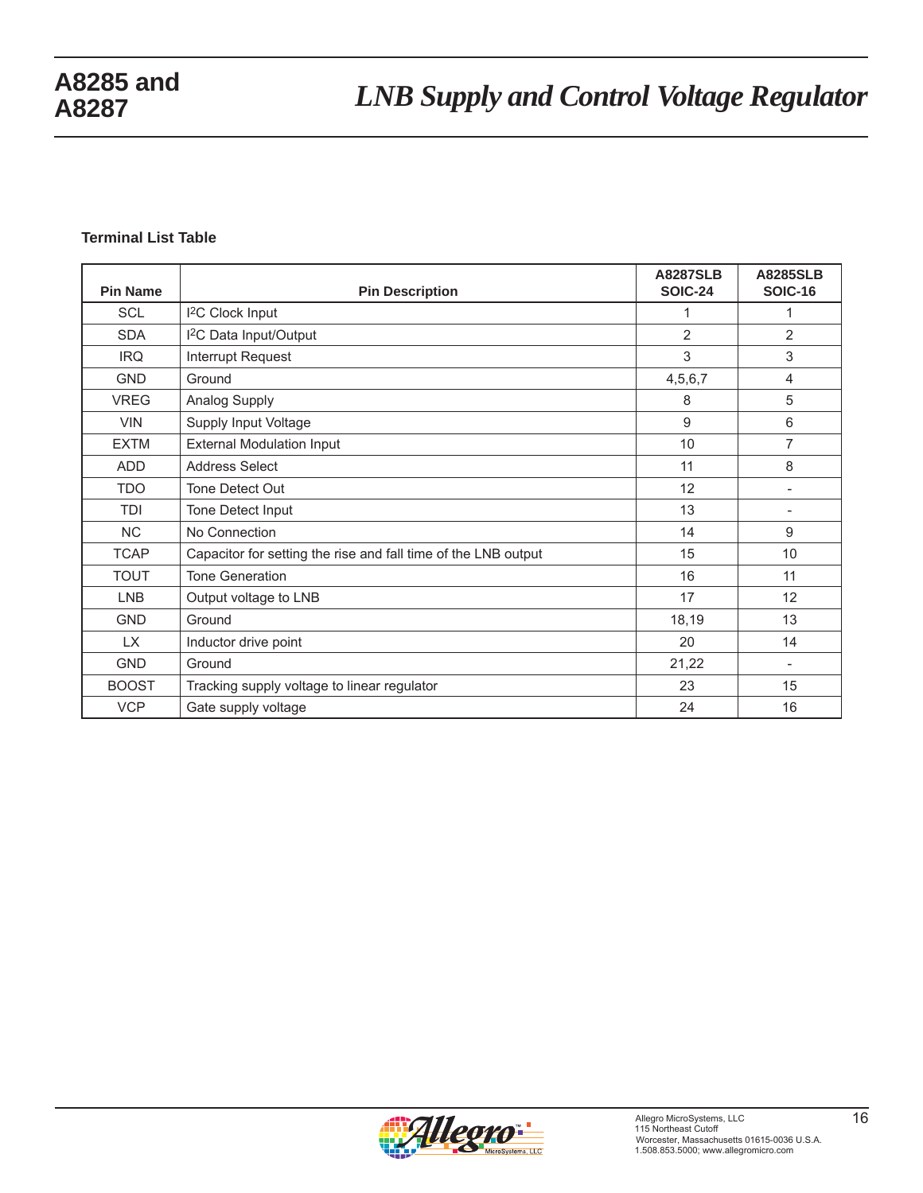#### **Terminal List Table**

| <b>Pin Name</b> | <b>Pin Description</b>                                         | <b>A8287SLB</b><br><b>SOIC-24</b> | <b>A8285SLB</b><br><b>SOIC-16</b> |
|-----------------|----------------------------------------------------------------|-----------------------------------|-----------------------------------|
| <b>SCL</b>      | <sup>2</sup> C Clock Input                                     | 1                                 | 1                                 |
| <b>SDA</b>      | <sup>12</sup> C Data Input/Output                              | $\mathbf{2}$                      | 2                                 |
| <b>IRQ</b>      | Interrupt Request                                              | 3                                 | 3                                 |
| <b>GND</b>      | Ground                                                         | 4,5,6,7                           | 4                                 |
| <b>VREG</b>     | Analog Supply                                                  | 8                                 | 5                                 |
| <b>VIN</b>      | Supply Input Voltage                                           | $9\,$                             | 6                                 |
| <b>EXTM</b>     | <b>External Modulation Input</b>                               | 10                                | $\overline{7}$                    |
| <b>ADD</b>      | <b>Address Select</b>                                          | 11                                | 8                                 |
| <b>TDO</b>      | Tone Detect Out                                                | 12                                |                                   |
| <b>TDI</b>      | Tone Detect Input                                              | 13                                | $\overline{\phantom{a}}$          |
| <b>NC</b>       | No Connection                                                  | 14                                | 9                                 |
| <b>TCAP</b>     | Capacitor for setting the rise and fall time of the LNB output | 15                                | 10                                |
| <b>TOUT</b>     | <b>Tone Generation</b>                                         | 16                                | 11                                |
| <b>LNB</b>      | Output voltage to LNB                                          | 17                                | 12                                |
| <b>GND</b>      | Ground                                                         | 18,19                             | 13                                |
| LX.             | Inductor drive point                                           | 20                                | 14                                |
| <b>GND</b>      | Ground                                                         | 21,22                             | $\overline{\phantom{a}}$          |
| <b>BOOST</b>    | Tracking supply voltage to linear regulator                    | 23                                | 15                                |
| <b>VCP</b>      | Gate supply voltage                                            | 24                                | 16                                |

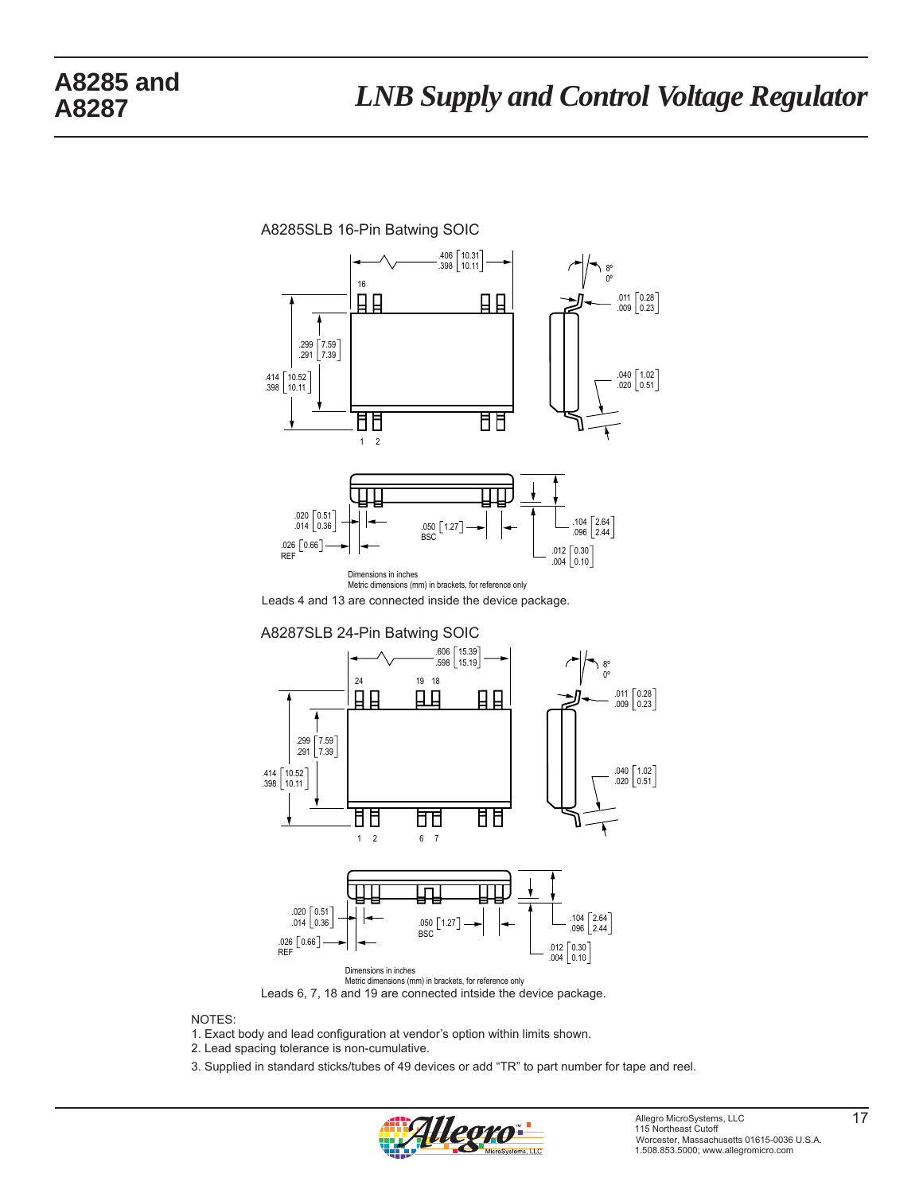

Metric dimensions (mm) in brackets, for reference only Leads 6, 7, 18 and 19 are connected intside the device package.

NOTES:

1. Exact body and lead configuration at vendor's option within limits shown.

2. Lead spacing tolerance is non-cumulative.

3. Supplied in standard sticks/tubes of 49 devices or add "TR" to part number for tape and reel.